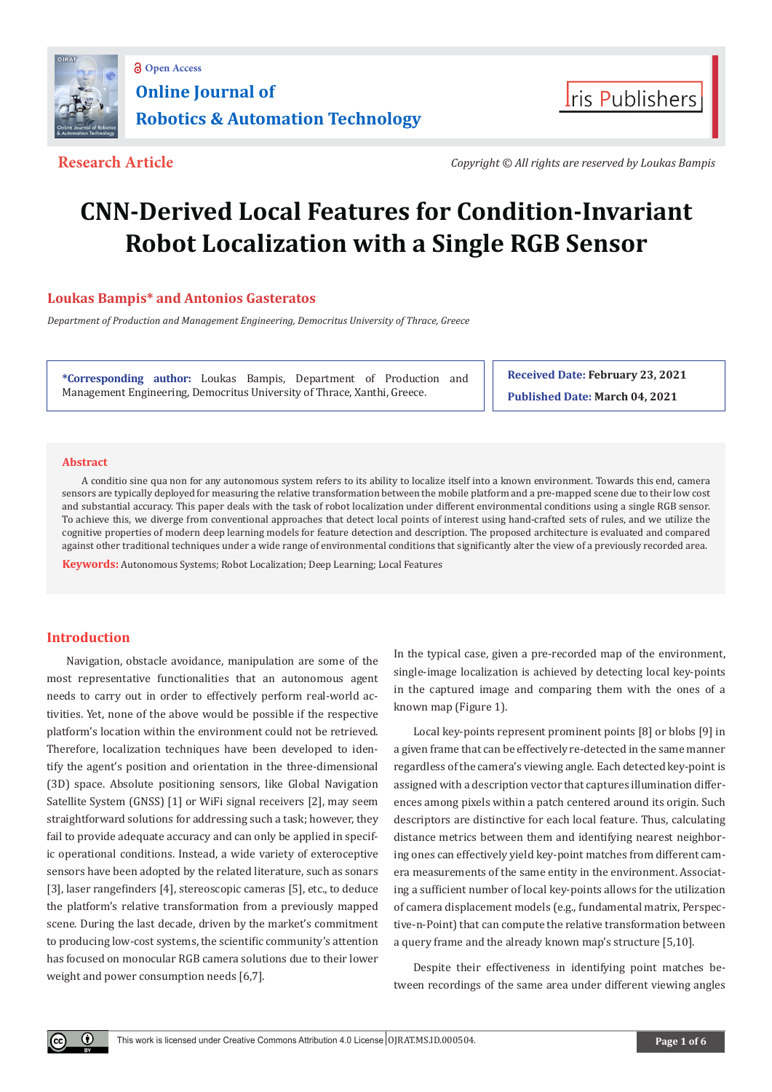



**Research Article** *Copyright © All rights are reserved by Loukas Bampis*

# **CNN-Derived Local Features for Condition-Invariant Robot Localization with a Single RGB Sensor**

# **Loukas Bampis\* and Antonios Gasteratos**

*Department of Production and Management Engineering, Democritus University of Thrace, Greece*

**\*Corresponding author:** Loukas Bampis, Department of Production and Management Engineering, Democritus University of Thrace, Xanthi, Greece.

**Received Date: February 23, 2021 Published Date: March 04, 2021**

# **Abstract**

A conditio sine qua non for any autonomous system refers to its ability to localize itself into a known environment. Towards this end, camera sensors are typically deployed for measuring the relative transformation between the mobile platform and a pre-mapped scene due to their low cost and substantial accuracy. This paper deals with the task of robot localization under different environmental conditions using a single RGB sensor. To achieve this, we diverge from conventional approaches that detect local points of interest using hand-crafted sets of rules, and we utilize the cognitive properties of modern deep learning models for feature detection and description. The proposed architecture is evaluated and compared against other traditional techniques under a wide range of environmental conditions that significantly alter the view of a previously recorded area.

**Keywords:** Autonomous Systems; Robot Localization; Deep Learning; Local Features

# **Introduction**

 $\bf \Theta$ 

Navigation, obstacle avoidance, manipulation are some of the most representative functionalities that an autonomous agent needs to carry out in order to effectively perform real-world activities. Yet, none of the above would be possible if the respective platform's location within the environment could not be retrieved. Therefore, localization techniques have been developed to identify the agent's position and orientation in the three-dimensional (3D) space. Absolute positioning sensors, like Global Navigation Satellite System (GNSS) [1] or WiFi signal receivers [2], may seem straightforward solutions for addressing such a task; however, they fail to provide adequate accuracy and can only be applied in specific operational conditions. Instead, a wide variety of exteroceptive sensors have been adopted by the related literature, such as sonars [3], laser rangefinders [4], stereoscopic cameras [5], etc., to deduce the platform's relative transformation from a previously mapped scene. During the last decade, driven by the market's commitment to producing low-cost systems, the scientific community's attention has focused on monocular RGB camera solutions due to their lower weight and power consumption needs [6,7].

In the typical case, given a pre-recorded map of the environment, single-image localization is achieved by detecting local key-points in the captured image and comparing them with the ones of a known map (Figure 1).

Local key-points represent prominent points [8] or blobs [9] in a given frame that can be effectively re-detected in the same manner regardless of the camera's viewing angle. Each detected key-point is assigned with a description vector that captures illumination differences among pixels within a patch centered around its origin. Such descriptors are distinctive for each local feature. Thus, calculating distance metrics between them and identifying nearest neighboring ones can effectively yield key-point matches from different camera measurements of the same entity in the environment. Associating a sufficient number of local key-points allows for the utilization of camera displacement models (e.g., fundamental matrix, Perspective-n-Point) that can compute the relative transformation between a query frame and the already known map's structure [5,10].

Despite their effectiveness in identifying point matches between recordings of the same area under different viewing angles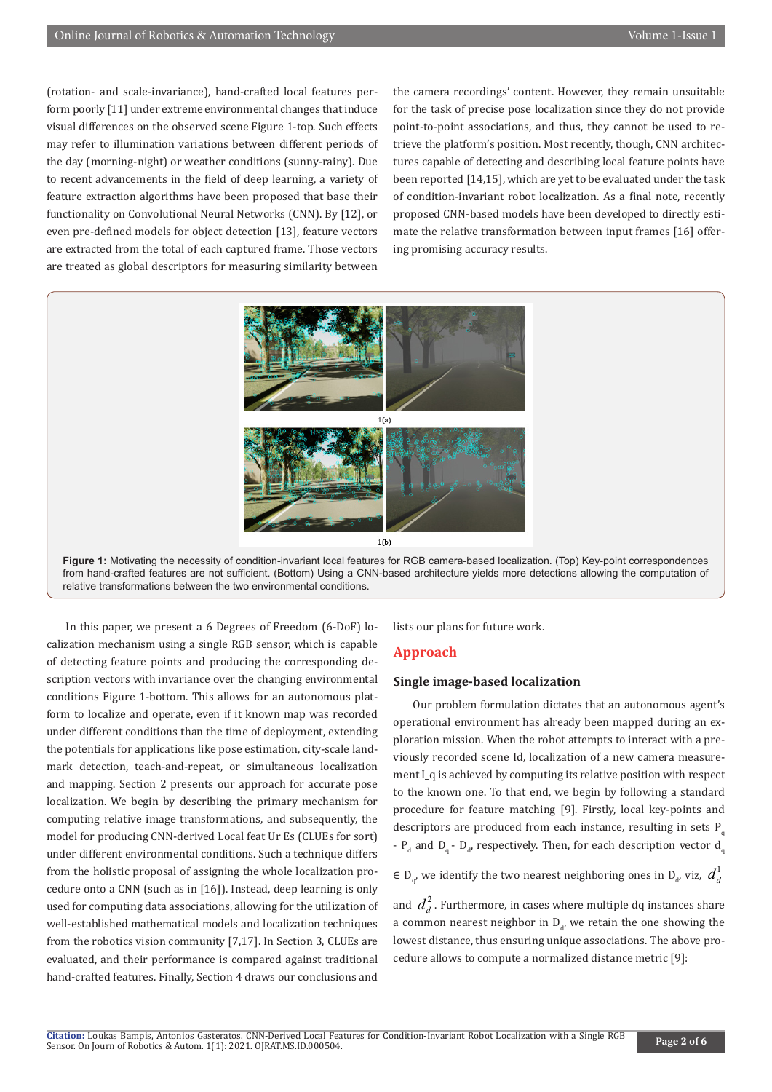(rotation- and scale-invariance), hand-crafted local features perform poorly [11] under extreme environmental changes that induce visual differences on the observed scene Figure 1-top. Such effects may refer to illumination variations between different periods of the day (morning-night) or weather conditions (sunny-rainy). Due to recent advancements in the field of deep learning, a variety of feature extraction algorithms have been proposed that base their functionality on Convolutional Neural Networks (CNN). By [12], or even pre-defined models for object detection [13], feature vectors are extracted from the total of each captured frame. Those vectors are treated as global descriptors for measuring similarity between

the camera recordings' content. However, they remain unsuitable for the task of precise pose localization since they do not provide point-to-point associations, and thus, they cannot be used to retrieve the platform's position. Most recently, though, CNN architectures capable of detecting and describing local feature points have been reported [14,15], which are yet to be evaluated under the task of condition-invariant robot localization. As a final note, recently proposed CNN-based models have been developed to directly estimate the relative transformation between input frames [16] offering promising accuracy results.





In this paper, we present a 6 Degrees of Freedom (6-DoF) localization mechanism using a single RGB sensor, which is capable of detecting feature points and producing the corresponding description vectors with invariance over the changing environmental conditions Figure 1-bottom. This allows for an autonomous platform to localize and operate, even if it known map was recorded under different conditions than the time of deployment, extending the potentials for applications like pose estimation, city-scale landmark detection, teach-and-repeat, or simultaneous localization and mapping. Section 2 presents our approach for accurate pose localization. We begin by describing the primary mechanism for computing relative image transformations, and subsequently, the model for producing CNN-derived Local feat Ur Es (CLUEs for sort) under different environmental conditions. Such a technique differs from the holistic proposal of assigning the whole localization procedure onto a CNN (such as in [16]). Instead, deep learning is only used for computing data associations, allowing for the utilization of well-established mathematical models and localization techniques from the robotics vision community [7,17]. In Section 3, CLUEs are evaluated, and their performance is compared against traditional hand-crafted features. Finally, Section 4 draws our conclusions and

lists our plans for future work.

# **Approach**

#### **Single image-based localization**

Our problem formulation dictates that an autonomous agent's operational environment has already been mapped during an exploration mission. When the robot attempts to interact with a previously recorded scene Id, localization of a new camera measurement I q is achieved by computing its relative position with respect to the known one. To that end, we begin by following a standard procedure for feature matching [9]. Firstly, local key-points and descriptors are produced from each instance, resulting in sets  $P_q$ -  $P_d$  and  $D_q$  -  $D_{d'}$  respectively. Then, for each description vector  $d_q$ 

∈ D<sub>q</sub>, we identify the two nearest neighboring ones in D<sub>a</sub>, viz,  $d_d^1$ 

and  $\boldsymbol{d}_d^2$  . Furthermore, in cases where multiple dq instances share a common nearest neighbor in  $D_{d'}$  we retain the one showing the lowest distance, thus ensuring unique associations. The above procedure allows to compute a normalized distance metric [9]: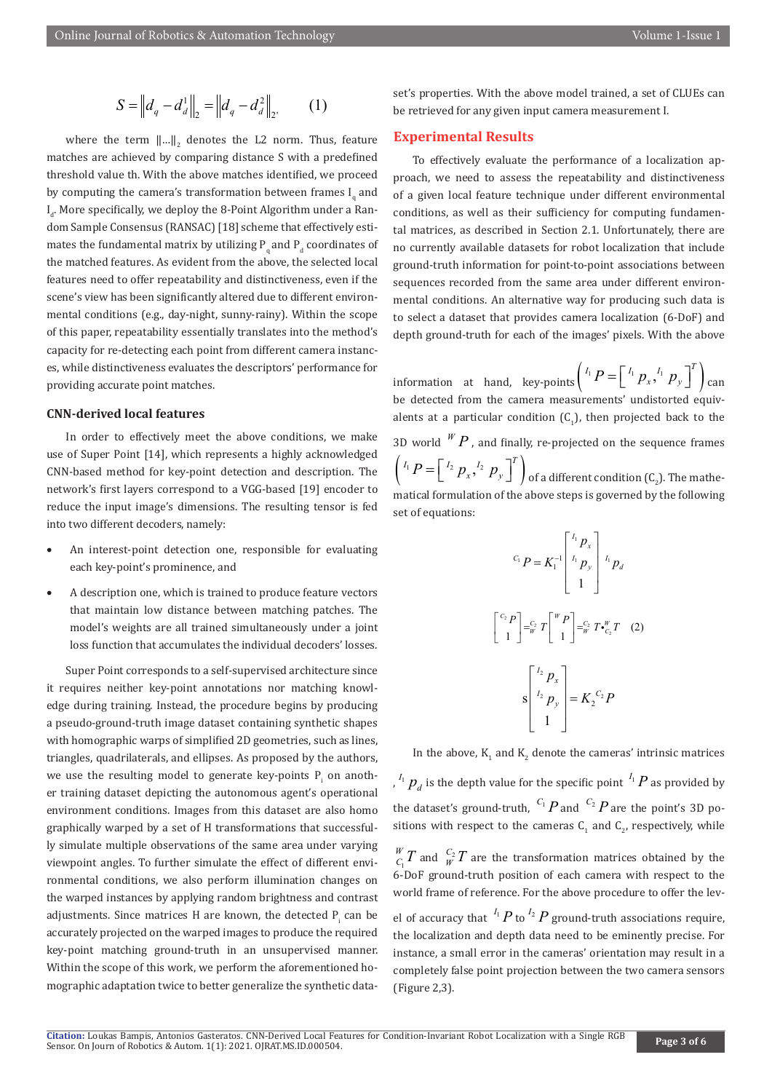$$
S = ||d_q - d_d||_2 = ||d_q - d_d^2||_2.
$$
 (1)

where the term  $\left\| ... \right\|_2$  denotes the L2 norm. Thus, feature matches are achieved by comparing distance S with a predefined threshold value th. With the above matches identified, we proceed by computing the camera's transformation between frames  $I_q$  and  $I_{d}$ . More specifically, we deploy the 8-Point Algorithm under a Random Sample Consensus (RANSAC) [18] scheme that effectively estimates the fundamental matrix by utilizing  $P_{q}$  and  $P_{d}$  coordinates of the matched features. As evident from the above, the selected local features need to offer repeatability and distinctiveness, even if the scene's view has been significantly altered due to different environmental conditions (e.g., day-night, sunny-rainy). Within the scope of this paper, repeatability essentially translates into the method's capacity for re-detecting each point from different camera instances, while distinctiveness evaluates the descriptors' performance for providing accurate point matches.

#### **CNN-derived local features**

In order to effectively meet the above conditions, we make use of Super Point [14], which represents a highly acknowledged CNN-based method for key-point detection and description. The network's first layers correspond to a VGG-based [19] encoder to reduce the input image's dimensions. The resulting tensor is fed into two different decoders, namely:

- An interest-point detection one, responsible for evaluating each key-point's prominence, and
- A description one, which is trained to produce feature vectors that maintain low distance between matching patches. The model's weights are all trained simultaneously under a joint loss function that accumulates the individual decoders' losses.

Super Point corresponds to a self-supervised architecture since it requires neither key-point annotations nor matching knowledge during training. Instead, the procedure begins by producing a pseudo-ground-truth image dataset containing synthetic shapes with homographic warps of simplified 2D geometries, such as lines, triangles, quadrilaterals, and ellipses. As proposed by the authors, we use the resulting model to generate key-points  $P_i$  on another training dataset depicting the autonomous agent's operational environment conditions. Images from this dataset are also homo graphically warped by a set of H transformations that successfully simulate multiple observations of the same area under varying viewpoint angles. To further simulate the effect of different environmental conditions, we also perform illumination changes on the warped instances by applying random brightness and contrast adjustments. Since matrices H are known, the detected  $P_i$  can be accurately projected on the warped images to produce the required key-point matching ground-truth in an unsupervised manner. Within the scope of this work, we perform the aforementioned homographic adaptation twice to better generalize the synthetic dataset's properties. With the above model trained, a set of CLUEs can be retrieved for any given input camera measurement I.

# **Experimental Results**

To effectively evaluate the performance of a localization approach, we need to assess the repeatability and distinctiveness of a given local feature technique under different environmental conditions, as well as their sufficiency for computing fundamental matrices, as described in Section 2.1. Unfortunately, there are no currently available datasets for robot localization that include ground-truth information for point-to-point associations between sequences recorded from the same area under different environmental conditions. An alternative way for producing such data is to select a dataset that provides camera localization (6-DoF) and depth ground-truth for each of the images' pixels. With the above

information at hand, key-points  $\left( \begin{array}{c} I_1 P = \left[ \begin{array}{c} I_1 \end{array} p_x, \begin{array}{c} I_1 \end{array} p_y \right]^T \right)$  can be detected from the camera measurements' undistorted equivalents at a particular condition  $(C_1)$ , then projected back to the 3D world  $W$  *P* , and finally, re-projected on the sequence frames  $\left( \begin{smallmatrix} I_1 & D \end{smallmatrix} = \left[ \begin{smallmatrix} I_2 & D_x, \end{smallmatrix} \right]^T \right)$  of a different condition (C<sub>2</sub>). The mathematical formulation of the above steps is governed by the following set of equations:

$$
{}^{C_1}P = K_1^{-1} \begin{bmatrix} {}^{I_1}P_x \\ {}^{I_1}P_y \\ 1 \end{bmatrix} {}^{I_1}P_d
$$

$$
\begin{bmatrix} {}^{C_2}P \\ 1 \end{bmatrix} = {}^{C_2}_{W}T \begin{bmatrix} {}^{W}P \\ 1 \end{bmatrix} = {}^{C_2}_{W}T \begin{bmatrix} {}^{W}P \\ {}^{C_2}T \end{bmatrix}
$$

$$
S \begin{bmatrix} {}^{I_2}P_x \\ {}^{I_2}P_y \\ 1 \end{bmatrix} = K_2 {}^{C_2}P
$$

In the above,  $K_1$  and  $K_2$  denote the cameras' intrinsic matrices

,  $^{I_{1}}P_{d}$  is the depth value for the specific point  $^{I_{1}}P$  as provided by the dataset's ground-truth,  $C_1$  *P* and  $C_2$  *P* are the point's 3D positions with respect to the cameras  $C_1$  and  $C_2$ , respectively, while

1  $\frac{W}{C_1}T$  and  $\frac{C_2}{W}T$  are the transformation matrices obtained by the 6-DoF ground-truth position of each camera with respect to the world frame of reference. For the above procedure to offer the level of accuracy that  $I<sup>I</sup><sub>I</sub> P$  to  $I<sup>2</sup> P$  ground-truth associations require, the localization and depth data need to be eminently precise. For instance, a small error in the cameras' orientation may result in a completely false point projection between the two camera sensors (Figure 2,3).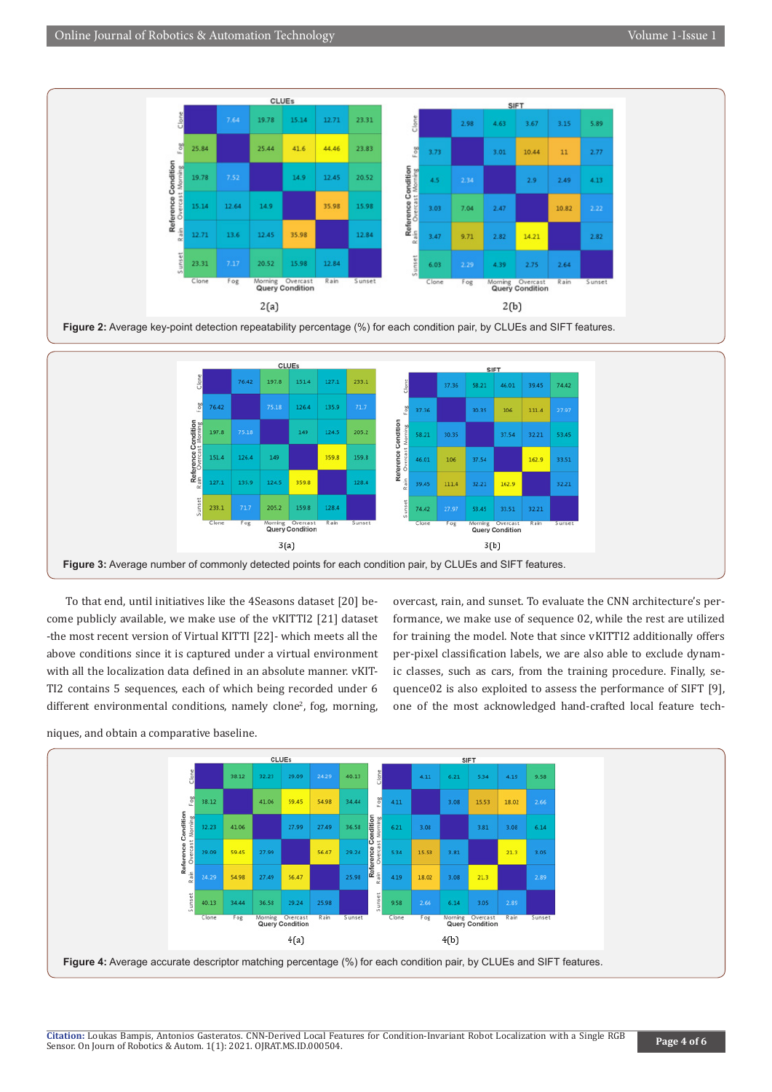



To that end, until initiatives like the 4Seasons dataset [20] become publicly available, we make use of the vKITTI2 [21] dataset -the most recent version of Virtual KITTI [22]- which meets all the above conditions since it is captured under a virtual environment with all the localization data defined in an absolute manner. vKIT-TI2 contains 5 sequences, each of which being recorded under 6

different environmental conditions, namely clone<sup>2</sup>, fog, morning,

overcast, rain, and sunset. To evaluate the CNN architecture's performance, we make use of sequence 02, while the rest are utilized for training the model. Note that since vKITTI2 additionally offers per-pixel classification labels, we are also able to exclude dynamic classes, such as cars, from the training procedure. Finally, sequence02 is also exploited to assess the performance of SIFT [9], one of the most acknowledged hand-crafted local feature tech-



niques, and obtain a comparative baseline.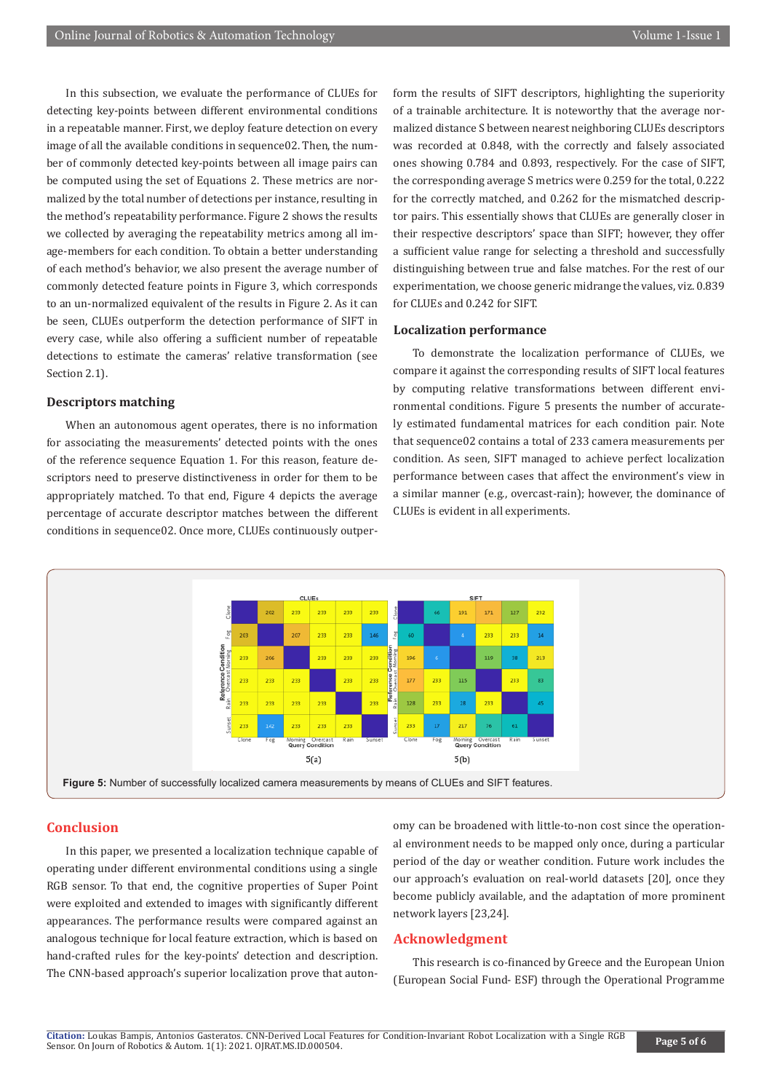In this subsection, we evaluate the performance of CLUEs for detecting key-points between different environmental conditions in a repeatable manner. First, we deploy feature detection on every image of all the available conditions in sequence02. Then, the number of commonly detected key-points between all image pairs can be computed using the set of Equations 2. These metrics are normalized by the total number of detections per instance, resulting in the method's repeatability performance. Figure 2 shows the results we collected by averaging the repeatability metrics among all image-members for each condition. To obtain a better understanding of each method's behavior, we also present the average number of commonly detected feature points in Figure 3, which corresponds to an un-normalized equivalent of the results in Figure 2. As it can be seen, CLUEs outperform the detection performance of SIFT in every case, while also offering a sufficient number of repeatable detections to estimate the cameras' relative transformation (see Section 2.1).

# **Descriptors matching**

When an autonomous agent operates, there is no information for associating the measurements' detected points with the ones of the reference sequence Equation 1. For this reason, feature descriptors need to preserve distinctiveness in order for them to be appropriately matched. To that end, Figure 4 depicts the average percentage of accurate descriptor matches between the different conditions in sequence02. Once more, CLUEs continuously outperform the results of SIFT descriptors, highlighting the superiority of a trainable architecture. It is noteworthy that the average normalized distance S between nearest neighboring CLUEs descriptors was recorded at 0.848, with the correctly and falsely associated ones showing 0.784 and 0.893, respectively. For the case of SIFT, the corresponding average S metrics were 0.259 for the total, 0.222 for the correctly matched, and 0.262 for the mismatched descriptor pairs. This essentially shows that CLUEs are generally closer in their respective descriptors' space than SIFT; however, they offer a sufficient value range for selecting a threshold and successfully distinguishing between true and false matches. For the rest of our experimentation, we choose generic midrange the values, viz. 0.839 for CLUEs and 0.242 for SIFT.

#### **Localization performance**

To demonstrate the localization performance of CLUEs, we compare it against the corresponding results of SIFT local features by computing relative transformations between different environmental conditions. Figure 5 presents the number of accurately estimated fundamental matrices for each condition pair. Note that sequence02 contains a total of 233 camera measurements per condition. As seen, SIFT managed to achieve perfect localization performance between cases that affect the environment's view in a similar manner (e.g., overcast-rain); however, the dominance of CLUEs is evident in all experiments.



# **Conclusion**

In this paper, we presented a localization technique capable of operating under different environmental conditions using a single RGB sensor. To that end, the cognitive properties of Super Point were exploited and extended to images with significantly different appearances. The performance results were compared against an analogous technique for local feature extraction, which is based on hand-crafted rules for the key-points' detection and description. The CNN-based approach's superior localization prove that autonomy can be broadened with little-to-non cost since the operational environment needs to be mapped only once, during a particular period of the day or weather condition. Future work includes the our approach's evaluation on real-world datasets [20], once they become publicly available, and the adaptation of more prominent network layers [23,24].

# **Acknowledgment**

This research is co-financed by Greece and the European Union (European Social Fund- ESF) through the Operational Programme